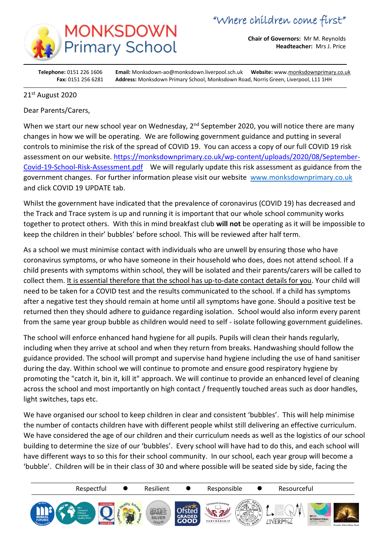

**Chair of Governors:** Mr M. Reynolds **Headteacher:** Mrs J. Price

**Telephone:** 0151 226 1606 **Email:** Monksdown-ao@monksdown.liverpool.sch.uk **Website:** www[.monksdownprimary.co.uk](http://www.monksdownprimary.co.uk/) **Fax:** 0151 256 6281 **Address:** Monksdown Primary School, Monksdown Road, Norris Green, Liverpool, L11 1HH

## 21st August 2020

i

Dear Parents/Carers,

When we start our new school year on Wednesday, 2<sup>nd</sup> September 2020, you will notice there are many changes in how we will be operating. We are following government guidance and putting in several controls to minimise the risk of the spread of COVID 19. You can access a copy of our full COVID 19 risk assessment on our website. [https://monksdownprimary.co.uk/wp-content/uploads/2020/08/September-](https://monksdownprimary.co.uk/wp-content/uploads/2020/08/September-Covid-19-School-Risk-Assessment.pdf)[Covid-19-School-Risk-Assessment.pdf](https://monksdownprimary.co.uk/wp-content/uploads/2020/08/September-Covid-19-School-Risk-Assessment.pdf) We will regularly update this risk assessment as guidance from the government changes. For further information please visit our website [www.monksdownprimary.co.uk](http://www.monksdownprimary.co.uk/) and click COVID 19 UPDATE tab.

Whilst the government have indicated that the prevalence of coronavirus (COVID 19) has decreased and the Track and Trace system is up and running it is important that our whole school community works together to protect others. With this in mind breakfast club **will not** be operating as it will be impossible to keep the children in their' bubbles' before school. This will be reviewed after half term.

As a school we must minimise contact with individuals who are unwell by ensuring those who have coronavirus symptoms, or who have someone in their household who does, does not attend school. If a child presents with symptoms within school, they will be isolated and their parents/carers will be called to collect them. It is essential therefore that the school has up-to-date contact details for you. Your child will need to be taken for a COVID test and the results communicated to the school. If a child has symptoms after a negative test they should remain at home until all symptoms have gone. Should a positive test be returned then they should adhere to guidance regarding isolation. School would also inform every parent from the same year group bubble as children would need to self - isolate following government guidelines.

The school will enforce enhanced hand hygiene for all pupils. Pupils will clean their hands regularly, including when they arrive at school and when they return from breaks. Handwashing should follow the guidance provided. The school will prompt and supervise hand hygiene including the use of hand sanitiser during the day. Within school we will continue to promote and ensure good respiratory hygiene by promoting the "catch it, bin it, kill it" approach. We will continue to provide an enhanced level of cleaning across the school and most importantly on high contact / frequently touched areas such as door handles, light switches, taps etc.

We have organised our school to keep children in clear and consistent 'bubbles'. This will help minimise the number of contacts children have with different people whilst still delivering an effective curriculum. We have considered the age of our children and their curriculum needs as well as the logistics of our school building to determine the size of our 'bubbles'. Every school will have had to do this, and each school will have different ways to so this for their school community. In our school, each year group will become a 'bubble'. Children will be in their class of 30 and where possible will be seated side by side, facing the